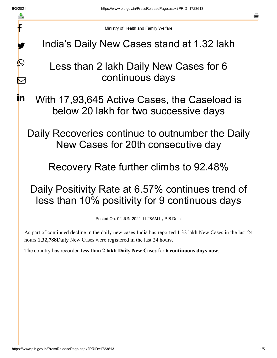f

y.

 $\bigcirc$ 

 $\color{red} \boxtimes$ 

in.

a

Ministry of Health and Family Welfare

India's Daily New Cases stand at 1.32 lakh

## Less than 2 lakh Daily New Cases for 6 continuous days

With 17,93,645 Active Cases, the Caseload is below 20 lakh for two successive days

Daily Recoveries continue to outnumber the Daily New Cases for 20th consecutive day

Recovery Rate further climbs to 92.48%

## Daily Positivity Rate at 6.57% continues trend of less than 10% positivity for 9 continuous days

Posted On: 02 JUN 2021 11:28AM by PIB Delhi

As part of continued decline in the daily new cases,India has reported 1.32 lakh New Cases in the last 24 hours.**1,32,788**Daily New Cases were registered in the last 24 hours.

The country has recorded **less than 2 lakh Daily New Cases** for **6 continuous days now**.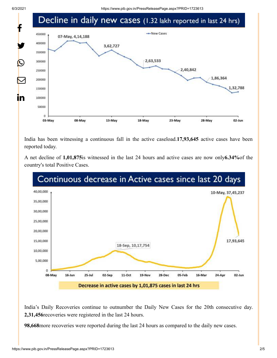

India has been witnessing a continuous fall in the active caseload.**17,93,645** active cases have been reported today.

A net decline of **1,01,875**is witnessed in the last 24 hours and active cases are now only**6.34%**of the country's total Positive Cases.



India's Daily Recoveries continue to outnumber the Daily New Cases for the 20th consecutive day. **2,31,456**recoveries were registered in the last 24 hours.

**98,668**more recoveries were reported during the last 24 hours as compared to the daily new cases.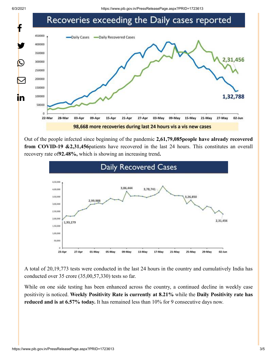

Out of the people infected since beginning of the pandemic **2,61,79,085people have already recovered from COVID-19 &2,31,456**patients have recovered in the last 24 hours. This constitutes an overall recovery rate of**92.48%,** which is showing an increasing trend**.**



A total of 20,19,773 tests were conducted in the last 24 hours in the country and cumulatively India has conducted over 35 crore (35,00,57,330) tests so far.

While on one side testing has been enhanced across the country, a continued decline in weekly case positivity is noticed. **Weekly Positivity Rate is currently at 8.21%** while the **Daily Positivity rate has reduced and is at 6.57% today.** It has remained less than 10% for 9 consecutive days now.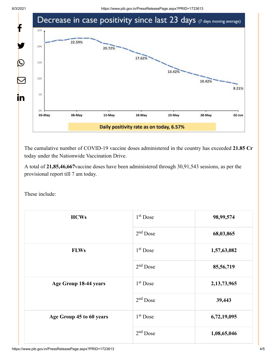

The cumulative number of COVID-19 vaccine doses administered in the country has exceeded **21.85 Cr** today under the Nationwide Vaccination Drive.

A total of **21,85,46,667**vaccine doses have been administered through 30,91,543 sessions, as per the provisional report till 7 am today.

These include:

| <b>HCWs</b>              | $1st$ Dose | 98,99,574      |
|--------------------------|------------|----------------|
|                          | $2nd$ Dose | 68,03,865      |
| <b>FLWs</b>              | $1st$ Dose | 1,57,63,082    |
|                          | $2nd$ Dose | 85,56,719      |
| Age Group 18-44 years    | $1st$ Dose | 2, 13, 73, 965 |
|                          | $2nd$ Dose | 39,443         |
| Age Group 45 to 60 years | $1st$ Dose | 6,72,19,095    |
|                          | $2nd$ Dose | 1,08,65,046    |